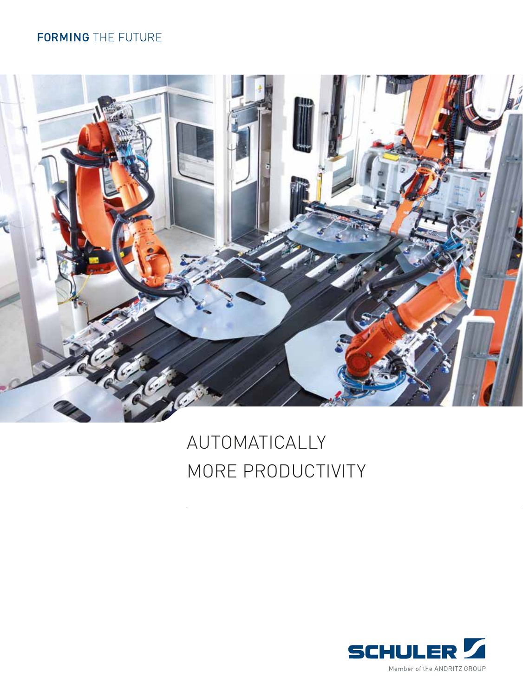### **FORMING** THE FUTURE



# AUTOMATICALLY MORE PRODUCTIVITY

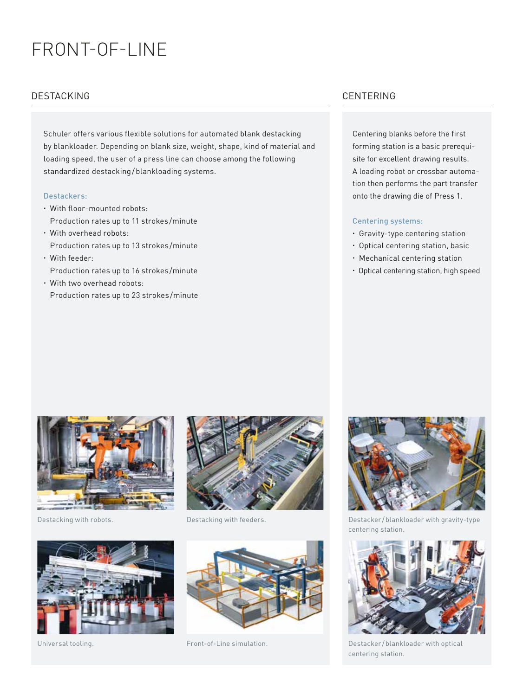## FRONT-OF-LINE

#### DESTACKING CENTERING

Schuler offers various flexible solutions for automated blank destacking by blankloader. Depending on blank size, weight, shape, kind of material and loading speed, the user of a press line can choose among the following standardized destacking/blankloading systems.

#### Destackers:

- With floor-mounted robots: Production rates up to 11 strokes /minute
- With overhead robots: Production rates up to 13 strokes /minute
- With feeder: Production rates up to 16 strokes /minute
- With two overhead robots: Production rates up to 23 strokes /minute

Centering blanks before the first forming station is a basic prerequisite for excellent drawing results. A loading robot or crossbar automation then performs the part transfer onto the drawing die of Press 1.

#### Centering systems:

- Gravity-type centering station
- Optical centering station, basic
- Mechanical centering station
- Optical centering station, high speed









Front-of-Line simulation.



Destacking with robots. Destacking with feeders. Destacker /blankloader with gravity-type centering station.



Universal tooling. Destacker /blankloader with optical centering station.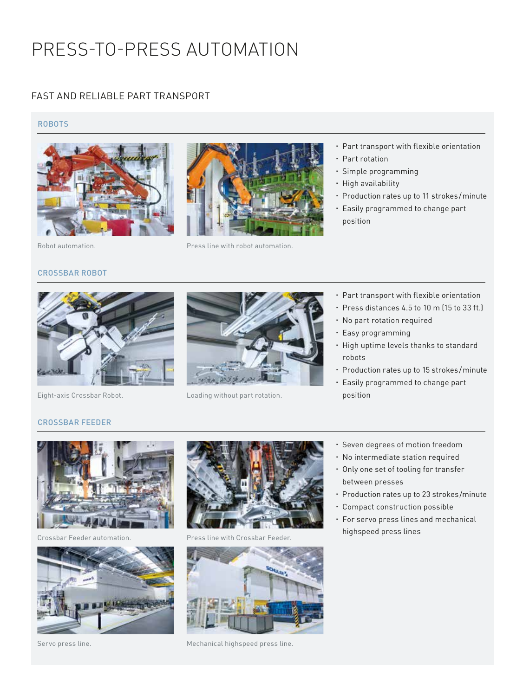## PRESS-TO-PRESS AUTOMATION

#### FAST AND RELIABLE PART TRANSPORT

#### ROBOTS





- Part transport with flexible orientation
- Part rotation
- Simple programming
- · High availability
- Production rates up to 11 strokes/minute
- Easily programmed to change part position

Robot automation. Press line with robot automation.

### CROSSBAR ROBOT



Eight-axis Crossbar Robot. Loading without part rotation.

- Part transport with flexible orientation
- Press distances 4.5 to 10 m (15 to 33 ft.)
- No part rotation required
- Easy programming
- High uptime levels thanks to standard robots
- Production rates up to 15 strokes/minute
- Easily programmed to change part position

#### CROSSBAR FEEDER





Servo press line.



Crossbar Feeder automation. Press line with Crossbar Feeder.

![](_page_2_Picture_31.jpeg)

Mechanical highspeed press line.

- Seven degrees of motion freedom
- No intermediate station required
- Only one set of tooling for transfer between presses
- Production rates up to 23 strokes/minute
- Compact construction possible
- For servo press lines and mechanical highspeed press lines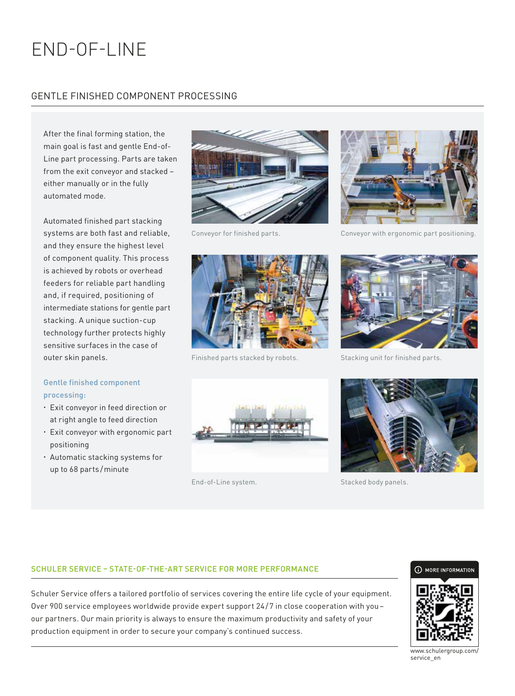# END-OF-LINE

### GENTLE FINISHED COMPONENT PROCESSING

After the final forming station, the main goal is fast and gentle End-of-Line part processing. Parts are taken from the exit conveyor and stacked – either manually or in the fully automated mode.

Automated finished part stacking systems are both fast and reliable, and they ensure the highest level of component quality. This process is achieved by robots or overhead feeders for reliable part handling and, if required, positioning of intermediate stations for gentle part stacking. A unique suction-cup technology further protects highly sensitive surfaces in the case of outer skin panels.

#### Gentle finished component processing:

- Exit conveyor in feed direction or at right angle to feed direction
- Exit conveyor with ergonomic part positioning
- Automatic stacking systems for up to 68 parts /minute

![](_page_3_Picture_8.jpeg)

![](_page_3_Picture_10.jpeg)

Finished parts stacked by robots. Stacking unit for finished parts.

![](_page_3_Picture_12.jpeg)

Conveyor for finished parts. Conveyor with ergonomic part positioning.

![](_page_3_Picture_14.jpeg)

![](_page_3_Picture_16.jpeg)

![](_page_3_Picture_18.jpeg)

End-of-Line system. Stacked body panels.

#### SCHULER SERVICE – STATE-OF-THE-ART SERVICE FOR MORE PERFORMANCE

Schuler Service offers a tailored portfolio of services covering the entire life cycle of your equipment. Over 900 service employees worldwide provide expert support 24/7 in close cooperation with you– our partners. Our main priority is always to ensure the maximum productivity and safety of your production equipment in order to secure your company's continued success.

#### (i) MORE INFORMATION

![](_page_3_Picture_23.jpeg)

www.schulergroup.com/ service\_en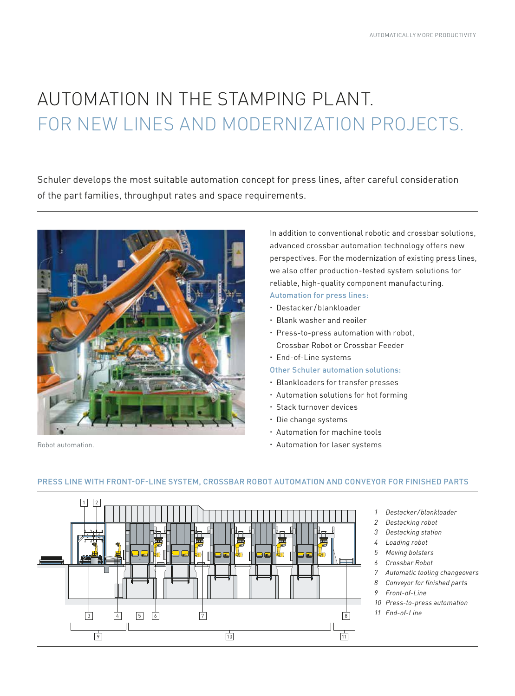# AUTOMATION IN THE STAMPING PLANT. FOR NEW LINES AND MODERNIZATION PROJECTS.

Schuler develops the most suitable automation concept for press lines, after careful consideration of the part families, throughput rates and space requirements.

![](_page_4_Picture_3.jpeg)

Robot automation.

In addition to conventional robotic and crossbar solutions, advanced crossbar automation technology offers new perspectives. For the modernization of existing press lines, we also offer production-tested system solutions for reliable, high-quality component manufacturing.

- Automation for press lines: Destacker /blankloader
- Blank washer and reoiler
- Press-to-press automation with robot, Crossbar Robot or Crossbar Feeder
- End-of-Line systems
- Other Schuler automation solutions:
- Blankloaders for transfer presses
- Automation solutions for hot forming
- Stack turnover devices
- Die change systems
- Automation for machine tools
- Automation for laser systems

![](_page_4_Figure_17.jpeg)

#### PRESS LINE WITH FRONT-OF-LINE SYSTEM, CROSSBAR ROBOT AUTOMATION AND CONVEYOR FOR FINISHED PARTS

- *1 Destacker/blankloader*
- *2 Destacking robot*
- *3 Destacking station*
- *4 Loading robot*
- 
- 
- *7 Automatic tooling changeovers*
- *8 Conveyor for finished parts*
- 
- *10 Press-to-press automation*
-